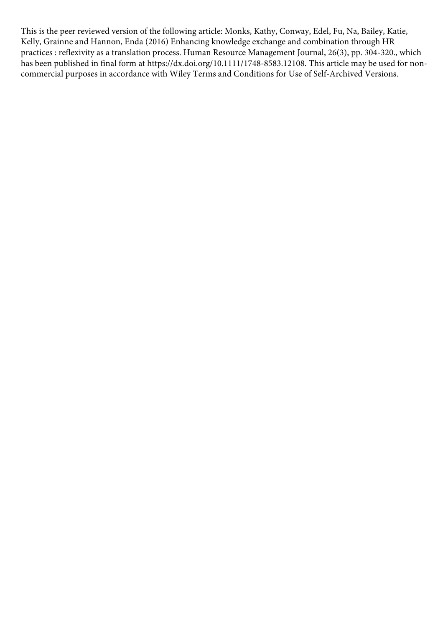This is the peer reviewed version of the following article: Monks, Kathy, Conway, Edel, Fu, Na, Bailey, Katie, Kelly, Grainne and Hannon, Enda (2016) Enhancing knowledge exchange and combination through HR practices : reflexivity as a translation process. Human Resource Management Journal, 26(3), pp. 304-320., which has been published in final form at https://dx.doi.org/10.1111/1748-8583.12108. This article may be used for noncommercial purposes in accordance with Wiley Terms and Conditions for Use of Self-Archived Versions.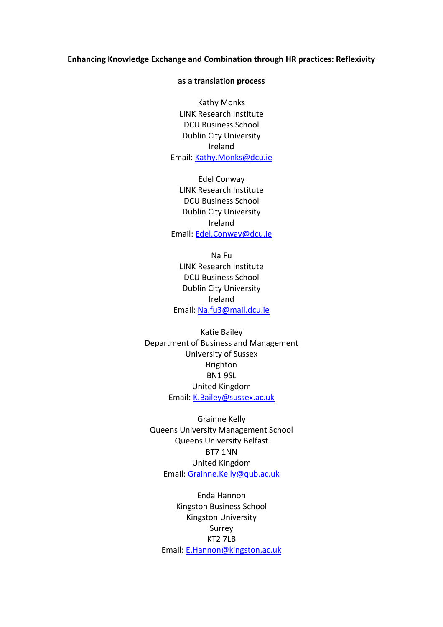## **Enhancing Knowledge Exchange and Combination through HR practices: Reflexivity**

## **as a translation process**

Kathy Monks LINK Research Institute DCU Business School Dublin City University Ireland Email: [Kathy.Monks@dcu.ie](mailto:Kathy.Monks@dcu.ie)

Edel Conway LINK Research Institute DCU Business School Dublin City University Ireland Email: [Edel.Conway@dcu.ie](mailto:Edel.Conway@dcu.ie)

Na Fu LINK Research Institute DCU Business School Dublin City University Ireland Email: [Na.fu3@mail.dcu.ie](mailto:Na.fu3@mail.dcu.ie)

Katie Bailey Department of Business and Management University of Sussex Brighton BN1 9SL United Kingdom Email: [K.Bailey@sussex.ac.uk](mailto:K.Bailey@sussex.ac.uk)

Grainne Kelly Queens University Management School Queens University Belfast BT7 1NN United Kingdom Email: [Grainne.Kelly@qub.ac.uk](mailto:Grainne.Kelly@qub.ac.uk)

Enda Hannon Kingston Business School Kingston University Surrey KT2 7LB Email: [E.Hannon@kingston.ac.uk](mailto:E.Hannon@kingston.ac.uk)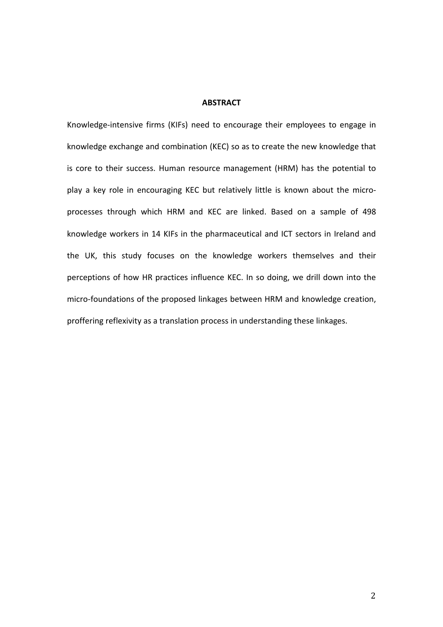## **ABSTRACT**

Knowledge-intensive firms (KIFs) need to encourage their employees to engage in knowledge exchange and combination (KEC) so as to create the new knowledge that is core to their success. Human resource management (HRM) has the potential to play a key role in encouraging KEC but relatively little is known about the microprocesses through which HRM and KEC are linked. Based on a sample of 498 knowledge workers in 14 KIFs in the pharmaceutical and ICT sectors in Ireland and the UK, this study focuses on the knowledge workers themselves and their perceptions of how HR practices influence KEC. In so doing, we drill down into the micro-foundations of the proposed linkages between HRM and knowledge creation, proffering reflexivity as a translation process in understanding these linkages.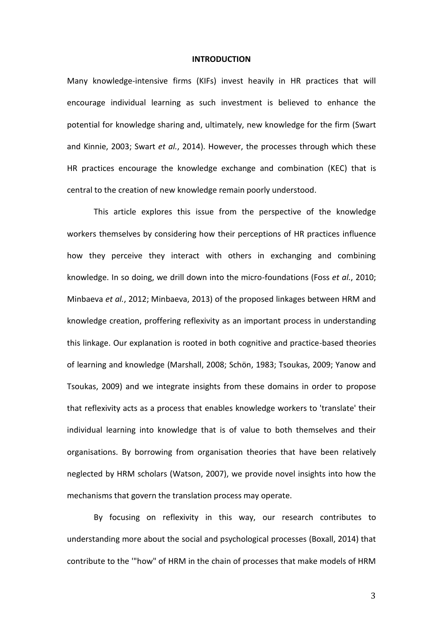#### **INTRODUCTION**

Many knowledge-intensive firms (KIFs) invest heavily in HR practices that will encourage individual learning as such investment is believed to enhance the potential for knowledge sharing and, ultimately, new knowledge for the firm (Swart and Kinnie, 2003; Swart *et al.*, 2014). However, the processes through which these HR practices encourage the knowledge exchange and combination (KEC) that is central to the creation of new knowledge remain poorly understood.

This article explores this issue from the perspective of the knowledge workers themselves by considering how their perceptions of HR practices influence how they perceive they interact with others in exchanging and combining knowledge. In so doing, we drill down into the micro-foundations (Foss *et al.*, 2010; Minbaeva *et al.*, 2012; Minbaeva, 2013) of the proposed linkages between HRM and knowledge creation, proffering reflexivity as an important process in understanding this linkage. Our explanation is rooted in both cognitive and practice-based theories of learning and knowledge (Marshall, 2008; Schön, 1983; Tsoukas, 2009; Yanow and Tsoukas, 2009) and we integrate insights from these domains in order to propose that reflexivity acts as a process that enables knowledge workers to 'translate' their individual learning into knowledge that is of value to both themselves and their organisations. By borrowing from organisation theories that have been relatively neglected by HRM scholars (Watson, 2007), we provide novel insights into how the mechanisms that govern the translation process may operate.

By focusing on reflexivity in this way, our research contributes to understanding more about the social and psychological processes (Boxall, 2014) that contribute to the '"how" of HRM in the chain of processes that make models of HRM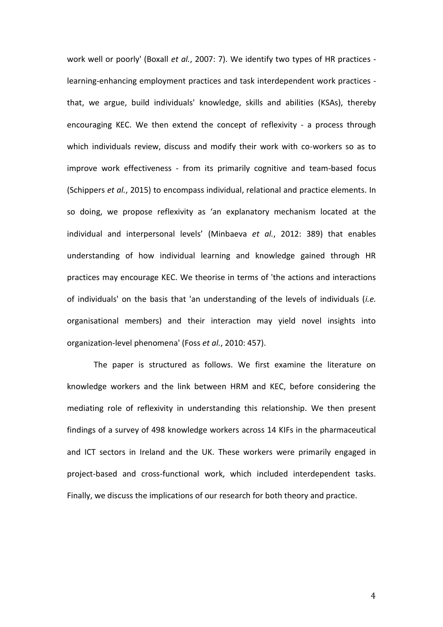work well or poorly' (Boxall *et al.*, 2007: 7). We identify two types of HR practices learning-enhancing employment practices and task interdependent work practices that, we argue, build individuals' knowledge, skills and abilities (KSAs), thereby encouraging KEC. We then extend the concept of reflexivity - a process through which individuals review, discuss and modify their work with co-workers so as to improve work effectiveness - from its primarily cognitive and team-based focus (Schippers *et al.*, 2015) to encompass individual, relational and practice elements. In so doing, we propose reflexivity as 'an explanatory mechanism located at the individual and interpersonal levels' (Minbaeva *et al.*, 2012: 389) that enables understanding of how individual learning and knowledge gained through HR practices may encourage KEC. We theorise in terms of 'the actions and interactions of individuals' on the basis that 'an understanding of the levels of individuals (*i.e.* organisational members) and their interaction may yield novel insights into organization-level phenomena' (Foss *et al.*, 2010: 457).

The paper is structured as follows. We first examine the literature on knowledge workers and the link between HRM and KEC, before considering the mediating role of reflexivity in understanding this relationship. We then present findings of a survey of 498 knowledge workers across 14 KIFs in the pharmaceutical and ICT sectors in Ireland and the UK. These workers were primarily engaged in project-based and cross-functional work, which included interdependent tasks. Finally, we discuss the implications of our research for both theory and practice.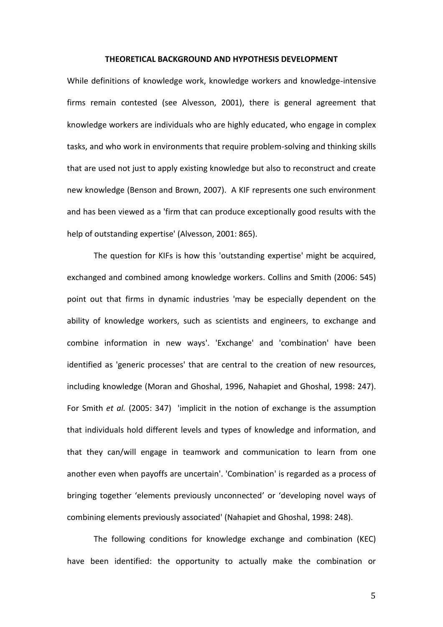## **THEORETICAL BACKGROUND AND HYPOTHESIS DEVELOPMENT**

While definitions of knowledge work, knowledge workers and knowledge-intensive firms remain contested (see Alvesson, 2001), there is general agreement that knowledge workers are individuals who are highly educated, who engage in complex tasks, and who work in environments that require problem-solving and thinking skills that are used not just to apply existing knowledge but also to reconstruct and create new knowledge (Benson and Brown, 2007). A KIF represents one such environment and has been viewed as a 'firm that can produce exceptionally good results with the help of outstanding expertise' (Alvesson, 2001: 865).

The question for KIFs is how this 'outstanding expertise' might be acquired, exchanged and combined among knowledge workers. Collins and Smith (2006: 545) point out that firms in dynamic industries 'may be especially dependent on the ability of knowledge workers, such as scientists and engineers, to exchange and combine information in new ways'. 'Exchange' and 'combination' have been identified as 'generic processes' that are central to the creation of new resources, including knowledge (Moran and Ghoshal, 1996, Nahapiet and Ghoshal, 1998: 247). For Smith *et al.* (2005: 347) 'implicit in the notion of exchange is the assumption that individuals hold different levels and types of knowledge and information, and that they can/will engage in teamwork and communication to learn from one another even when payoffs are uncertain'. 'Combination' is regarded as a process of bringing together 'elements previously unconnected' or 'developing novel ways of combining elements previously associated' (Nahapiet and Ghoshal, 1998: 248).

The following conditions for knowledge exchange and combination (KEC) have been identified: the opportunity to actually make the combination or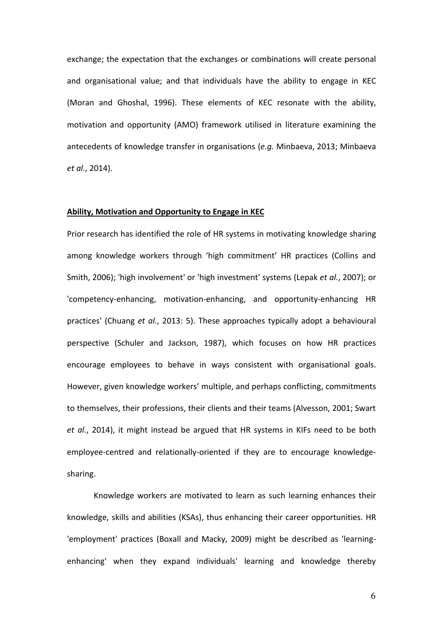exchange; the expectation that the exchanges or combinations will create personal and organisational value; and that individuals have the ability to engage in KEC (Moran and Ghoshal, 1996). These elements of KEC resonate with the ability, motivation and opportunity (AMO) framework utilised in literature examining the antecedents of knowledge transfer in organisations (*e.g.* Minbaeva, 2013; Minbaeva *et al.*, 2014).

## **Ability, Motivation and Opportunity to Engage in KEC**

Prior research has identified the role of HR systems in motivating knowledge sharing among knowledge workers through 'high commitment' HR practices (Collins and Smith, 2006); 'high involvement' or 'high investment' systems (Lepak *et al.*, 2007); or 'competency-enhancing, motivation-enhancing, and opportunity-enhancing HR practices' (Chuang *et al.*, 2013: 5). These approaches typically adopt a behavioural perspective (Schuler and Jackson, 1987), which focuses on how HR practices encourage employees to behave in ways consistent with organisational goals. However, given knowledge workers' multiple, and perhaps conflicting, commitments to themselves, their professions, their clients and their teams (Alvesson, 2001; Swart *et al.*, 2014), it might instead be argued that HR systems in KIFs need to be both employee-centred and relationally-oriented if they are to encourage knowledgesharing.

Knowledge workers are motivated to learn as such learning enhances their knowledge, skills and abilities (KSAs), thus enhancing their career opportunities. HR 'employment' practices (Boxall and Macky, 2009) might be described as 'learningenhancing' when they expand individuals' learning and knowledge thereby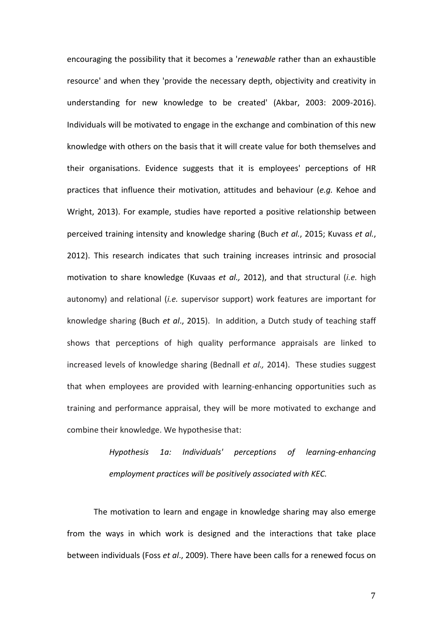encouraging the possibility that it becomes a '*renewable* rather than an exhaustible resource' and when they 'provide the necessary depth, objectivity and creativity in understanding for new knowledge to be created' (Akbar, 2003: 2009-2016). Individuals will be motivated to engage in the exchange and combination of this new knowledge with others on the basis that it will create value for both themselves and their organisations. Evidence suggests that it is employees' perceptions of HR practices that influence their motivation, attitudes and behaviour (*e.g.* Kehoe and Wright, 2013). For example, studies have reported a positive relationship between perceived training intensity and knowledge sharing (Buch *et al.*, 2015; Kuvass *et al.*, 2012). This research indicates that such training increases intrinsic and prosocial motivation to share knowledge (Kuvaas *et al.,* 2012), and that structural (*i.e.* high autonomy) and relational (*i.e.* supervisor support) work features are important for knowledge sharing (Buch *et al*., 2015). In addition, a Dutch study of teaching staff shows that perceptions of high quality performance appraisals are linked to increased levels of knowledge sharing (Bednall *et al.,* 2014). These studies suggest that when employees are provided with learning-enhancing opportunities such as training and performance appraisal, they will be more motivated to exchange and combine their knowledge. We hypothesise that:

# *Hypothesis 1a: Individuals' perceptions of learning-enhancing employment practices will be positively associated with KEC.*

The motivation to learn and engage in knowledge sharing may also emerge from the ways in which work is designed and the interactions that take place between individuals (Foss *et al*., 2009). There have been calls for a renewed focus on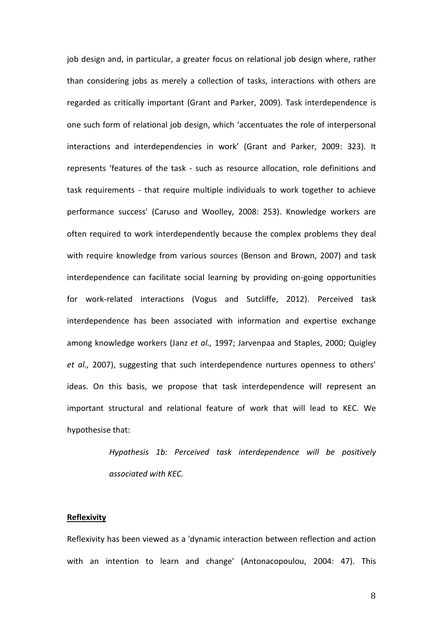job design and, in particular, a greater focus on relational job design where, rather than considering jobs as merely a collection of tasks, interactions with others are regarded as critically important (Grant and Parker, 2009). Task interdependence is one such form of relational job design, which 'accentuates the role of interpersonal interactions and interdependencies in work' (Grant and Parker, 2009: 323). It represents 'features of the task - such as resource allocation, role definitions and task requirements - that require multiple individuals to work together to achieve performance success' (Caruso and Woolley, 2008: 253). Knowledge workers are often required to work interdependently because the complex problems they deal with require knowledge from various sources (Benson and Brown, 2007) and task interdependence can facilitate social learning by providing on-going opportunities for work-related interactions (Vogus and Sutcliffe, 2012). Perceived task interdependence has been associated with information and expertise exchange among knowledge workers (Janz *et al.,* 1997; Jarvenpaa and Staples, 2000; Quigley *et al.,* 2007), suggesting that such interdependence nurtures openness to others' ideas. On this basis, we propose that task interdependence will represent an important structural and relational feature of work that will lead to KEC. We hypothesise that:

> *Hypothesis 1b: Perceived task interdependence will be positively associated with KEC.*

## **Reflexivity**

Reflexivity has been viewed as a 'dynamic interaction between reflection and action with an intention to learn and change' (Antonacopoulou, 2004: 47). This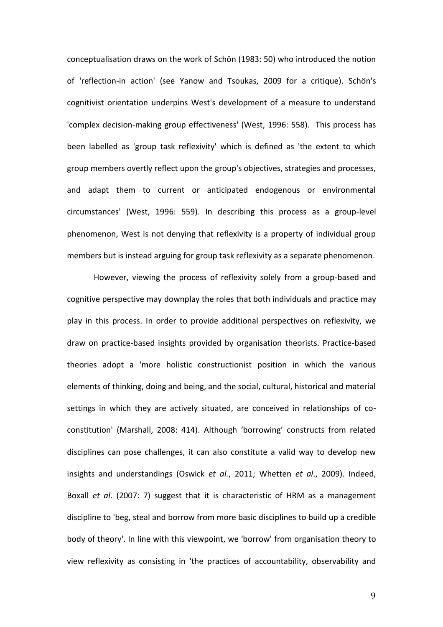conceptualisation draws on the work of Schön (1983: 50) who introduced the notion of 'reflection-in action' (see Yanow and Tsoukas, 2009 for a critique). Schön's cognitivist orientation underpins West's development of a measure to understand 'complex decision-making group effectiveness' (West, 1996: 558). This process has been labelled as 'group task reflexivity' which is defined as 'the extent to which group members overtly reflect upon the group's objectives, strategies and processes, and adapt them to current or anticipated endogenous or environmental circumstances' (West, 1996: 559). In describing this process as a group-level phenomenon, West is not denying that reflexivity is a property of individual group members but is instead arguing for group task reflexivity as a separate phenomenon.

However, viewing the process of reflexivity solely from a group-based and cognitive perspective may downplay the roles that both individuals and practice may play in this process. In order to provide additional perspectives on reflexivity, we draw on practice-based insights provided by organisation theorists. Practice-based theories adopt a 'more holistic constructionist position in which the various elements of thinking, doing and being, and the social, cultural, historical and material settings in which they are actively situated, are conceived in relationships of coconstitution' (Marshall, 2008: 414). Although 'borrowing' constructs from related disciplines can pose challenges, it can also constitute a valid way to develop new insights and understandings (Oswick *et al.*, 2011; Whetten *et al*., 2009). Indeed, Boxall *et al*. (2007: 7) suggest that it is characteristic of HRM as a management discipline to 'beg, steal and borrow from more basic disciplines to build up a credible body of theory'. In line with this viewpoint, we 'borrow' from organisation theory to view reflexivity as consisting in 'the practices of accountability, observability and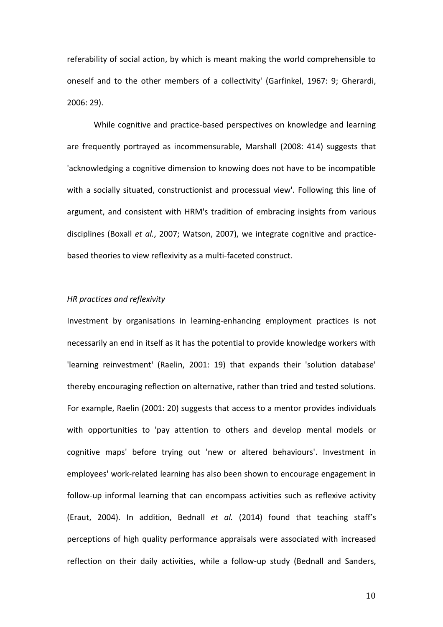referability of social action, by which is meant making the world comprehensible to oneself and to the other members of a collectivity' (Garfinkel, 1967: 9; Gherardi, 2006: 29).

While cognitive and practice-based perspectives on knowledge and learning are frequently portrayed as incommensurable, Marshall (2008: 414) suggests that 'acknowledging a cognitive dimension to knowing does not have to be incompatible with a socially situated, constructionist and processual view'. Following this line of argument, and consistent with HRM's tradition of embracing insights from various disciplines (Boxall *et al.*, 2007; Watson, 2007), we integrate cognitive and practicebased theories to view reflexivity as a multi-faceted construct.

## *HR practices and reflexivity*

Investment by organisations in learning-enhancing employment practices is not necessarily an end in itself as it has the potential to provide knowledge workers with 'learning reinvestment' (Raelin, 2001: 19) that expands their 'solution database' thereby encouraging reflection on alternative, rather than tried and tested solutions. For example, Raelin (2001: 20) suggests that access to a mentor provides individuals with opportunities to 'pay attention to others and develop mental models or cognitive maps' before trying out 'new or altered behaviours'. Investment in employees' work-related learning has also been shown to encourage engagement in follow-up informal learning that can encompass activities such as reflexive activity (Eraut, 2004). In addition, Bednall *et al.* (2014) found that teaching staff's perceptions of high quality performance appraisals were associated with increased reflection on their daily activities, while a follow-up study (Bednall and Sanders,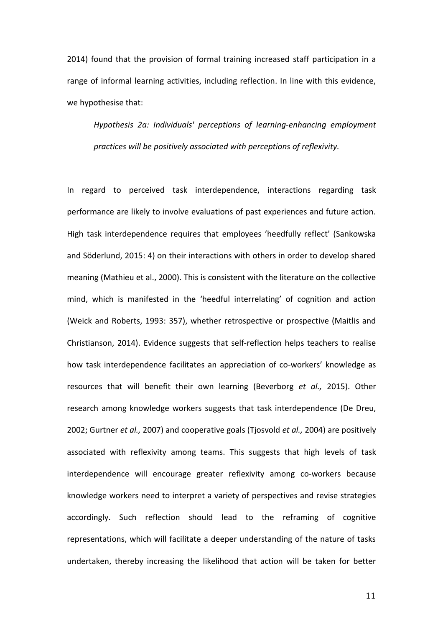2014) found that the provision of formal training increased staff participation in a range of informal learning activities, including reflection. In line with this evidence, we hypothesise that:

*Hypothesis 2a: Individuals' perceptions of learning-enhancing employment practices will be positively associated with perceptions of reflexivity.* 

In regard to perceived task interdependence, interactions regarding task performance are likely to involve evaluations of past experiences and future action. High task interdependence requires that employees 'heedfully reflect' (Sankowska and Söderlund, 2015: 4) on their interactions with others in order to develop shared meaning (Mathieu et al., 2000). This is consistent with the literature on the collective mind, which is manifested in the 'heedful interrelating' of cognition and action (Weick and Roberts, 1993: 357), whether retrospective or prospective (Maitlis and Christianson, 2014). Evidence suggests that self-reflection helps teachers to realise how task interdependence facilitates an appreciation of co-workers' knowledge as resources that will benefit their own learning (Beverborg *et al.,* 2015). Other research among knowledge workers suggests that task interdependence (De Dreu, 2002; Gurtner *et al.,* 2007) and cooperative goals (Tjosvold *et al.,* 2004) are positively associated with reflexivity among teams. This suggests that high levels of task interdependence will encourage greater reflexivity among co-workers because knowledge workers need to interpret a variety of perspectives and revise strategies accordingly. Such reflection should lead to the reframing of cognitive representations, which will facilitate a deeper understanding of the nature of tasks undertaken, thereby increasing the likelihood that action will be taken for better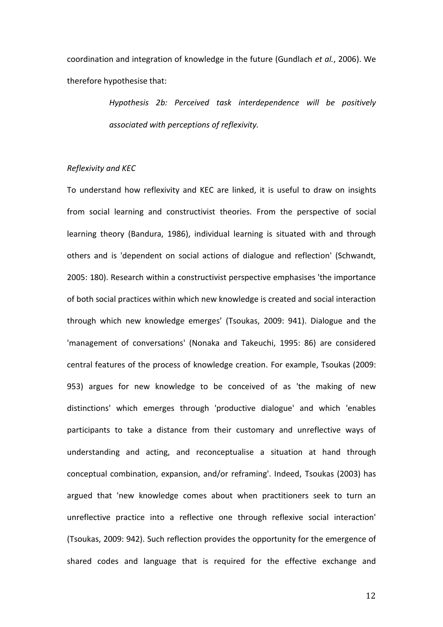coordination and integration of knowledge in the future (Gundlach *et al.*, 2006). We therefore hypothesise that:

> *Hypothesis 2b: Perceived task interdependence will be positively associated with perceptions of reflexivity.*

# *Reflexivity and KEC*

To understand how reflexivity and KEC are linked, it is useful to draw on insights from social learning and constructivist theories. From the perspective of social learning theory (Bandura, 1986), individual learning is situated with and through others and is 'dependent on social actions of dialogue and reflection' (Schwandt, 2005: 180). Research within a constructivist perspective emphasises 'the importance of both social practices within which new knowledge is created and social interaction through which new knowledge emerges' (Tsoukas, 2009: 941). Dialogue and the 'management of conversations' (Nonaka and Takeuchi, 1995: 86) are considered central features of the process of knowledge creation. For example, Tsoukas (2009: 953) argues for new knowledge to be conceived of as 'the making of new distinctions' which emerges through 'productive dialogue' and which 'enables participants to take a distance from their customary and unreflective ways of understanding and acting, and reconceptualise a situation at hand through conceptual combination, expansion, and/or reframing'. Indeed, Tsoukas (2003) has argued that 'new knowledge comes about when practitioners seek to turn an unreflective practice into a reflective one through reflexive social interaction' (Tsoukas, 2009: 942). Such reflection provides the opportunity for the emergence of shared codes and language that is required for the effective exchange and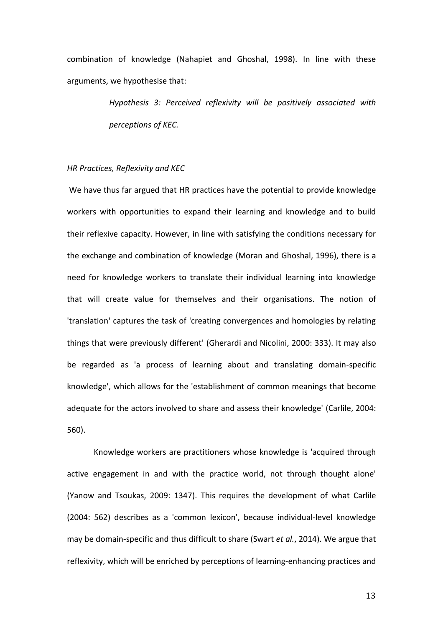combination of knowledge (Nahapiet and Ghoshal, 1998). In line with these arguments, we hypothesise that:

> *Hypothesis 3: Perceived reflexivity will be positively associated with perceptions of KEC.*

## *HR Practices, Reflexivity and KEC*

We have thus far argued that HR practices have the potential to provide knowledge workers with opportunities to expand their learning and knowledge and to build their reflexive capacity. However, in line with satisfying the conditions necessary for the exchange and combination of knowledge (Moran and Ghoshal, 1996), there is a need for knowledge workers to translate their individual learning into knowledge that will create value for themselves and their organisations. The notion of 'translation' captures the task of 'creating convergences and homologies by relating things that were previously different' (Gherardi and Nicolini, 2000: 333). It may also be regarded as 'a process of learning about and translating domain-specific knowledge', which allows for the 'establishment of common meanings that become adequate for the actors involved to share and assess their knowledge' (Carlile, 2004: 560).

Knowledge workers are practitioners whose knowledge is 'acquired through active engagement in and with the practice world, not through thought alone' (Yanow and Tsoukas, 2009: 1347). This requires the development of what Carlile (2004: 562) describes as a 'common lexicon', because individual-level knowledge may be domain-specific and thus difficult to share (Swart *et al.*, 2014). We argue that reflexivity, which will be enriched by perceptions of learning-enhancing practices and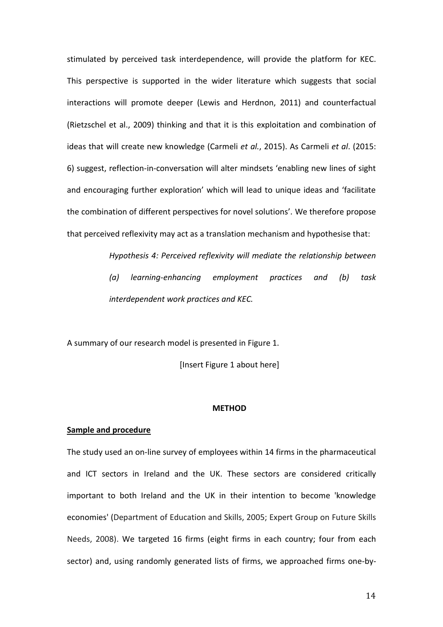stimulated by perceived task interdependence, will provide the platform for KEC. This perspective is supported in the wider literature which suggests that social interactions will promote deeper (Lewis and Herdnon, 2011) and counterfactual (Rietzschel et al., 2009) thinking and that it is this exploitation and combination of ideas that will create new knowledge (Carmeli *et al.*, 2015). As Carmeli *et al*. (2015: 6) suggest, reflection-in-conversation will alter mindsets 'enabling new lines of sight and encouraging further exploration' which will lead to unique ideas and 'facilitate the combination of different perspectives for novel solutions'. We therefore propose that perceived reflexivity may act as a translation mechanism and hypothesise that:

> *Hypothesis 4: Perceived reflexivity will mediate the relationship between (a) learning-enhancing employment practices and (b) task interdependent work practices and KEC.*

A summary of our research model is presented in Figure 1.

[Insert Figure 1 about here]

## **METHOD**

## **Sample and procedure**

The study used an on-line survey of employees within 14 firms in the pharmaceutical and ICT sectors in Ireland and the UK. These sectors are considered critically important to both Ireland and the UK in their intention to become 'knowledge economies' (Department of Education and Skills, 2005; Expert Group on Future Skills Needs, 2008). We targeted 16 firms (eight firms in each country; four from each sector) and, using randomly generated lists of firms, we approached firms one-by-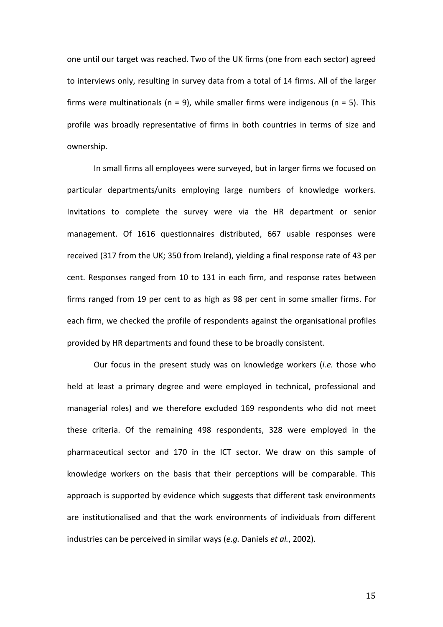one until our target was reached. Two of the UK firms (one from each sector) agreed to interviews only, resulting in survey data from a total of 14 firms. All of the larger firms were multinationals ( $n = 9$ ), while smaller firms were indigenous ( $n = 5$ ). This profile was broadly representative of firms in both countries in terms of size and ownership.

In small firms all employees were surveyed, but in larger firms we focused on particular departments/units employing large numbers of knowledge workers. Invitations to complete the survey were via the HR department or senior management. Of 1616 questionnaires distributed, 667 usable responses were received (317 from the UK; 350 from Ireland), yielding a final response rate of 43 per cent. Responses ranged from 10 to 131 in each firm, and response rates between firms ranged from 19 per cent to as high as 98 per cent in some smaller firms. For each firm, we checked the profile of respondents against the organisational profiles provided by HR departments and found these to be broadly consistent.

Our focus in the present study was on knowledge workers (*i.e.* those who held at least a primary degree and were employed in technical, professional and managerial roles) and we therefore excluded 169 respondents who did not meet these criteria. Of the remaining 498 respondents, 328 were employed in the pharmaceutical sector and 170 in the ICT sector. We draw on this sample of knowledge workers on the basis that their perceptions will be comparable. This approach is supported by evidence which suggests that different task environments are institutionalised and that the work environments of individuals from different industries can be perceived in similar ways (*e.g.* Daniels *et al.*, 2002).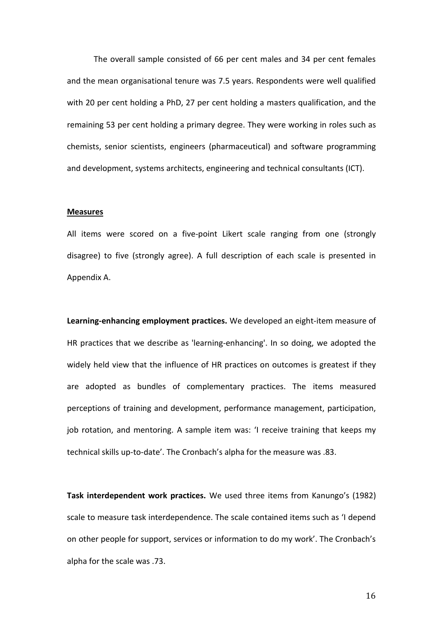The overall sample consisted of 66 per cent males and 34 per cent females and the mean organisational tenure was 7.5 years. Respondents were well qualified with 20 per cent holding a PhD, 27 per cent holding a masters qualification, and the remaining 53 per cent holding a primary degree. They were working in roles such as chemists, senior scientists, engineers (pharmaceutical) and software programming and development, systems architects, engineering and technical consultants (ICT).

#### **Measures**

All items were scored on a five-point Likert scale ranging from one (strongly disagree) to five (strongly agree). A full description of each scale is presented in Appendix A.

**Learning-enhancing employment practices.** We developed an eight-item measure of HR practices that we describe as 'learning-enhancing'. In so doing, we adopted the widely held view that the influence of HR practices on outcomes is greatest if they are adopted as bundles of complementary practices. The items measured perceptions of training and development, performance management, participation, job rotation, and mentoring. A sample item was: 'I receive training that keeps my technical skills up-to-date'. The Cronbach's alpha for the measure was .83.

**Task interdependent work practices.** We used three items from Kanungo's (1982) scale to measure task interdependence. The scale contained items such as 'I depend on other people for support, services or information to do my work'. The Cronbach's alpha for the scale was .73.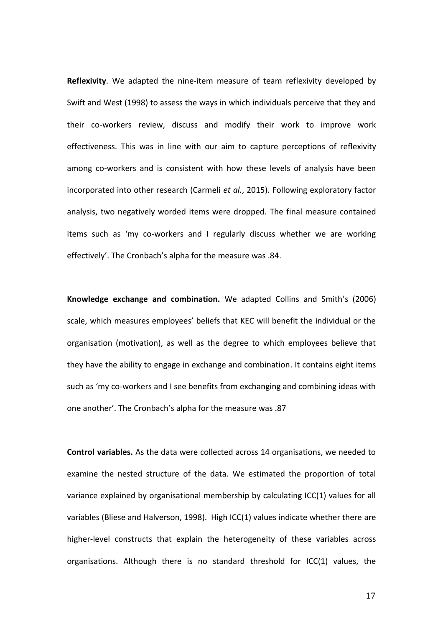**Reflexivity**. We adapted the nine-item measure of team reflexivity developed by Swift and West (1998) to assess the ways in which individuals perceive that they and their co-workers review, discuss and modify their work to improve work effectiveness. This was in line with our aim to capture perceptions of reflexivity among co-workers and is consistent with how these levels of analysis have been incorporated into other research (Carmeli *et al.*, 2015). Following exploratory factor analysis, two negatively worded items were dropped. The final measure contained items such as 'my co-workers and I regularly discuss whether we are working effectively'. The Cronbach's alpha for the measure was .84.

**Knowledge exchange and combination.** We adapted Collins and Smith's (2006) scale, which measures employees' beliefs that KEC will benefit the individual or the organisation (motivation), as well as the degree to which employees believe that they have the ability to engage in exchange and combination. It contains eight items such as 'my co-workers and I see benefits from exchanging and combining ideas with one another'. The Cronbach's alpha for the measure was .87

**Control variables.** As the data were collected across 14 organisations, we needed to examine the nested structure of the data. We estimated the proportion of total variance explained by organisational membership by calculating ICC(1) values for all variables (Bliese and Halverson, 1998). High ICC(1) values indicate whether there are higher-level constructs that explain the heterogeneity of these variables across organisations. Although there is no standard threshold for ICC(1) values, the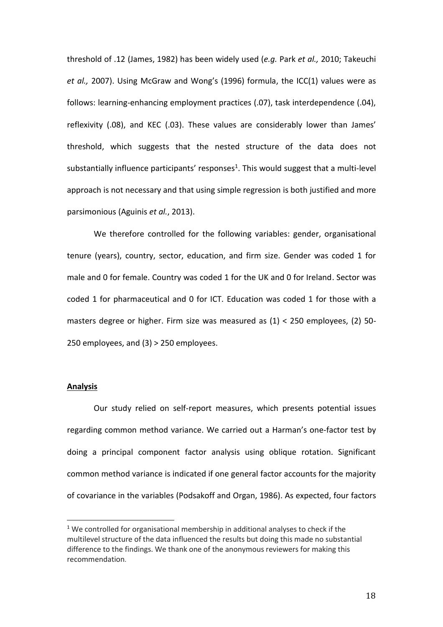threshold of .12 (James, 1982) has been widely used (*e.g.* Park *et al.,* 2010; Takeuchi *et al.,* 2007). Using McGraw and Wong's (1996) formula, the ICC(1) values were as follows: learning-enhancing employment practices (.07), task interdependence (.04), reflexivity (.08), and KEC (.03). These values are considerably lower than James' threshold, which suggests that the nested structure of the data does not substantially influence participants' responses<sup>1</sup>. This would suggest that a multi-level approach is not necessary and that using simple regression is both justified and more parsimonious (Aguinis *et al.*, 2013).

We therefore controlled for the following variables: gender, organisational tenure (years), country, sector, education, and firm size. Gender was coded 1 for male and 0 for female. Country was coded 1 for the UK and 0 for Ireland. Sector was coded 1 for pharmaceutical and 0 for ICT. Education was coded 1 for those with a masters degree or higher. Firm size was measured as (1) < 250 employees, (2) 50- 250 employees, and (3) > 250 employees.

## **Analysis**

 $\overline{a}$ 

Our study relied on self-report measures, which presents potential issues regarding common method variance. We carried out a Harman's one-factor test by doing a principal component factor analysis using oblique rotation. Significant common method variance is indicated if one general factor accounts for the majority of covariance in the variables (Podsakoff and Organ, 1986). As expected, four factors

<sup>&</sup>lt;sup>1</sup> We controlled for organisational membership in additional analyses to check if the multilevel structure of the data influenced the results but doing this made no substantial difference to the findings. We thank one of the anonymous reviewers for making this recommendation.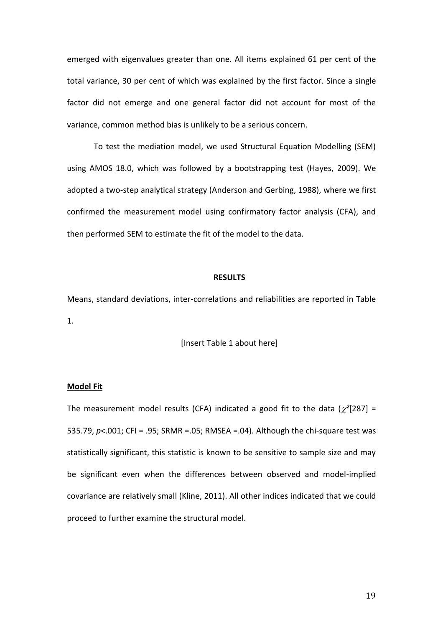emerged with eigenvalues greater than one. All items explained 61 per cent of the total variance, 30 per cent of which was explained by the first factor. Since a single factor did not emerge and one general factor did not account for most of the variance, common method bias is unlikely to be a serious concern.

To test the mediation model, we used Structural Equation Modelling (SEM) using AMOS 18.0, which was followed by a bootstrapping test (Hayes, 2009). We adopted a two-step analytical strategy (Anderson and Gerbing, 1988), where we first confirmed the measurement model using confirmatory factor analysis (CFA), and then performed SEM to estimate the fit of the model to the data.

#### **RESULTS**

Means, standard deviations, inter-correlations and reliabilities are reported in Table 1.

[Insert Table 1 about here]

#### **Model Fit**

The measurement model results (CFA) indicated a good fit to the data ( $\chi^2$ [287] = 535.79, *p*<.001; CFI = .95; SRMR =.05; RMSEA =.04). Although the chi-square test was statistically significant, this statistic is known to be sensitive to sample size and may be significant even when the differences between observed and model-implied covariance are relatively small (Kline, 2011). All other indices indicated that we could proceed to further examine the structural model.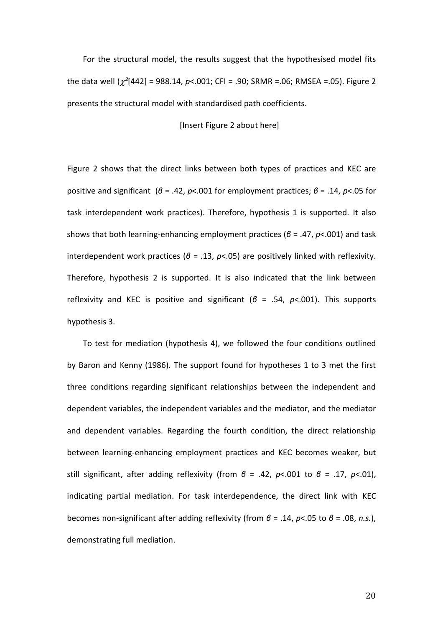For the structural model, the results suggest that the hypothesised model fits the data well (*²*[442] = 988.14, *p*<.001; CFI = .90; SRMR =.06; RMSEA =.05). Figure 2 presents the structural model with standardised path coefficients.

[Insert Figure 2 about here]

Figure 2 shows that the direct links between both types of practices and KEC are positive and significant (*β* = .42, *p*<.001 for employment practices; *β* = .14, *p*<.05 for task interdependent work practices). Therefore, hypothesis 1 is supported. It also shows that both learning-enhancing employment practices (*β* = .47, *p*<.001) and task interdependent work practices (*β* = .13, *p*<.05) are positively linked with reflexivity. Therefore, hypothesis 2 is supported. It is also indicated that the link between reflexivity and KEC is positive and significant (*β* = .54, *p*<.001). This supports hypothesis 3.

To test for mediation (hypothesis 4), we followed the four conditions outlined by Baron and Kenny (1986). The support found for hypotheses 1 to 3 met the first three conditions regarding significant relationships between the independent and dependent variables, the independent variables and the mediator, and the mediator and dependent variables. Regarding the fourth condition, the direct relationship between learning-enhancing employment practices and KEC becomes weaker, but still significant, after adding reflexivity (from *β* = .42, *p*<.001 to *β* = .17, *p*<.01), indicating partial mediation. For task interdependence, the direct link with KEC becomes non-significant after adding reflexivity (from *β* = .14, *p*<.05 to *β* = .08, *n.s.*), demonstrating full mediation.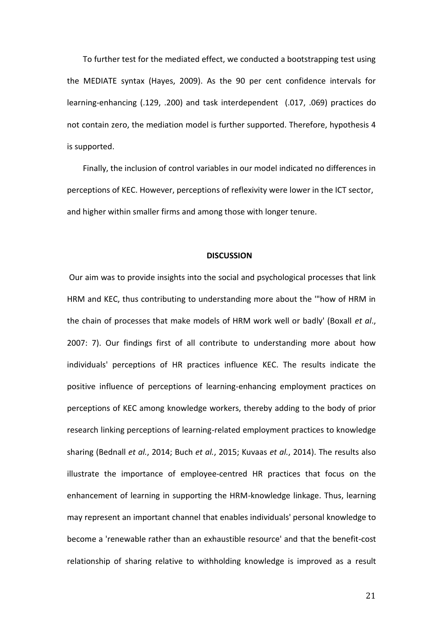To further test for the mediated effect, we conducted a bootstrapping test using the MEDIATE syntax (Hayes, 2009). As the 90 per cent confidence intervals for learning-enhancing (.129, .200) and task interdependent (.017, .069) practices do not contain zero, the mediation model is further supported. Therefore, hypothesis 4 is supported.

Finally, the inclusion of control variables in our model indicated no differences in perceptions of KEC. However, perceptions of reflexivity were lower in the ICT sector, and higher within smaller firms and among those with longer tenure.

#### **DISCUSSION**

Our aim was to provide insights into the social and psychological processes that link HRM and KEC, thus contributing to understanding more about the '"how of HRM in the chain of processes that make models of HRM work well or badly' (Boxall *et al*., 2007: 7). Our findings first of all contribute to understanding more about how individuals' perceptions of HR practices influence KEC. The results indicate the positive influence of perceptions of learning-enhancing employment practices on perceptions of KEC among knowledge workers, thereby adding to the body of prior research linking perceptions of learning-related employment practices to knowledge sharing (Bednall *et al.*, 2014; Buch *et al.*, 2015; Kuvaas *et al.*, 2014). The results also illustrate the importance of employee-centred HR practices that focus on the enhancement of learning in supporting the HRM-knowledge linkage. Thus, learning may represent an important channel that enables individuals' personal knowledge to become a 'renewable rather than an exhaustible resource' and that the benefit-cost relationship of sharing relative to withholding knowledge is improved as a result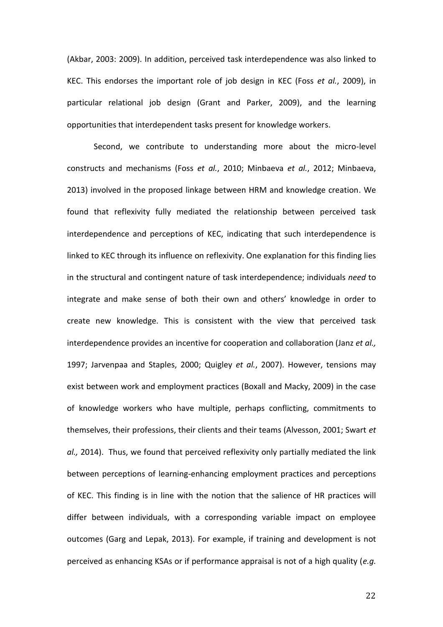(Akbar, 2003: 2009). In addition, perceived task interdependence was also linked to KEC. This endorses the important role of job design in KEC (Foss *et al.*, 2009), in particular relational job design (Grant and Parker, 2009), and the learning opportunities that interdependent tasks present for knowledge workers.

Second, we contribute to understanding more about the micro-level constructs and mechanisms (Foss *et al.*, 2010; Minbaeva *et al.*, 2012; Minbaeva, 2013) involved in the proposed linkage between HRM and knowledge creation. We found that reflexivity fully mediated the relationship between perceived task interdependence and perceptions of KEC, indicating that such interdependence is linked to KEC through its influence on reflexivity. One explanation for this finding lies in the structural and contingent nature of task interdependence; individuals *need* to integrate and make sense of both their own and others' knowledge in order to create new knowledge. This is consistent with the view that perceived task interdependence provides an incentive for cooperation and collaboration (Janz *et al.,* 1997; Jarvenpaa and Staples, 2000; Quigley *et al.*, 2007). However, tensions may exist between work and employment practices (Boxall and Macky, 2009) in the case of knowledge workers who have multiple, perhaps conflicting, commitments to themselves, their professions, their clients and their teams (Alvesson, 2001; Swart *et al.,* 2014). Thus, we found that perceived reflexivity only partially mediated the link between perceptions of learning-enhancing employment practices and perceptions of KEC. This finding is in line with the notion that the salience of HR practices will differ between individuals, with a corresponding variable impact on employee outcomes (Garg and Lepak, 2013). For example, if training and development is not perceived as enhancing KSAs or if performance appraisal is not of a high quality (*e.g.*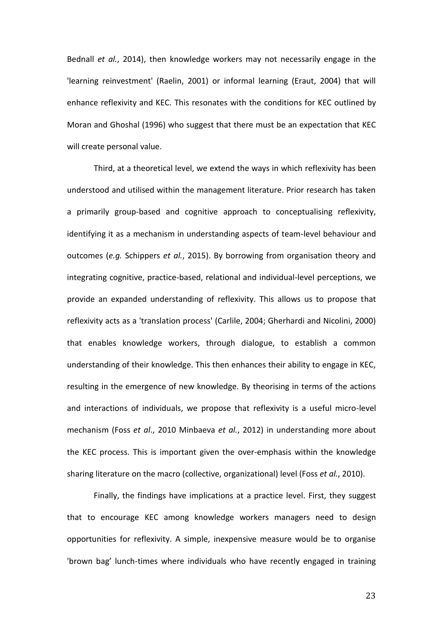Bednall *et al.*, 2014), then knowledge workers may not necessarily engage in the 'learning reinvestment' (Raelin, 2001) or informal learning (Eraut, 2004) that will enhance reflexivity and KEC. This resonates with the conditions for KEC outlined by Moran and Ghoshal (1996) who suggest that there must be an expectation that KEC will create personal value.

Third, at a theoretical level, we extend the ways in which reflexivity has been understood and utilised within the management literature. Prior research has taken a primarily group-based and cognitive approach to conceptualising reflexivity, identifying it as a mechanism in understanding aspects of team-level behaviour and outcomes (*e.g.* Schippers *et al.*, 2015). By borrowing from organisation theory and integrating cognitive, practice-based, relational and individual-level perceptions, we provide an expanded understanding of reflexivity. This allows us to propose that reflexivity acts as a 'translation process' (Carlile, 2004; Gherhardi and Nicolini, 2000) that enables knowledge workers, through dialogue, to establish a common understanding of their knowledge. This then enhances their ability to engage in KEC, resulting in the emergence of new knowledge. By theorising in terms of the actions and interactions of individuals, we propose that reflexivity is a useful micro-level mechanism (Foss *et al*., 2010 Minbaeva *et al.*, 2012) in understanding more about the KEC process. This is important given the over-emphasis within the knowledge sharing literature on the macro (collective, organizational) level (Foss *et al.*, 2010).

Finally, the findings have implications at a practice level. First, they suggest that to encourage KEC among knowledge workers managers need to design opportunities for reflexivity. A simple, inexpensive measure would be to organise 'brown bag' lunch-times where individuals who have recently engaged in training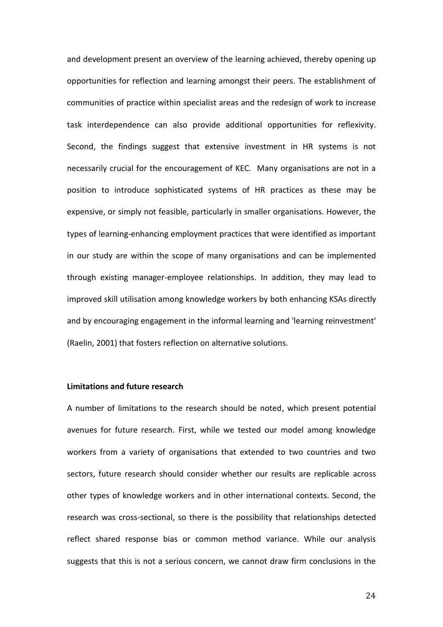and development present an overview of the learning achieved, thereby opening up opportunities for reflection and learning amongst their peers. The establishment of communities of practice within specialist areas and the redesign of work to increase task interdependence can also provide additional opportunities for reflexivity. Second, the findings suggest that extensive investment in HR systems is not necessarily crucial for the encouragement of KEC. Many organisations are not in a position to introduce sophisticated systems of HR practices as these may be expensive, or simply not feasible, particularly in smaller organisations. However, the types of learning-enhancing employment practices that were identified as important in our study are within the scope of many organisations and can be implemented through existing manager-employee relationships. In addition, they may lead to improved skill utilisation among knowledge workers by both enhancing KSAs directly and by encouraging engagement in the informal learning and 'learning reinvestment' (Raelin, 2001) that fosters reflection on alternative solutions.

## **Limitations and future research**

A number of limitations to the research should be noted, which present potential avenues for future research. First, while we tested our model among knowledge workers from a variety of organisations that extended to two countries and two sectors, future research should consider whether our results are replicable across other types of knowledge workers and in other international contexts. Second, the research was cross-sectional, so there is the possibility that relationships detected reflect shared response bias or common method variance. While our analysis suggests that this is not a serious concern, we cannot draw firm conclusions in the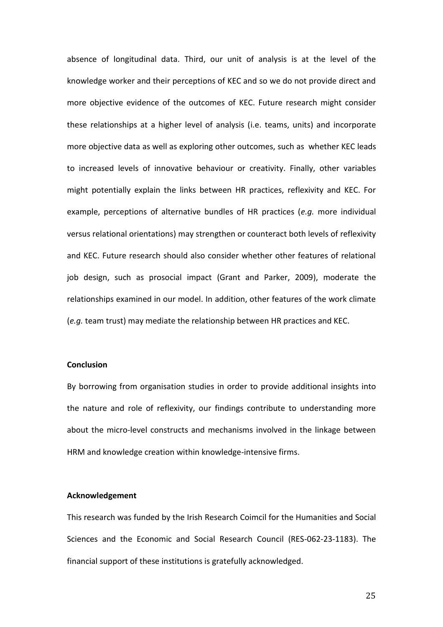absence of longitudinal data. Third, our unit of analysis is at the level of the knowledge worker and their perceptions of KEC and so we do not provide direct and more objective evidence of the outcomes of KEC. Future research might consider these relationships at a higher level of analysis (i.e. teams, units) and incorporate more objective data as well as exploring other outcomes, such as whether KEC leads to increased levels of innovative behaviour or creativity. Finally, other variables might potentially explain the links between HR practices, reflexivity and KEC. For example, perceptions of alternative bundles of HR practices (*e.g.* more individual versus relational orientations) may strengthen or counteract both levels of reflexivity and KEC. Future research should also consider whether other features of relational job design, such as prosocial impact (Grant and Parker, 2009), moderate the relationships examined in our model. In addition, other features of the work climate (*e.g.* team trust) may mediate the relationship between HR practices and KEC.

## **Conclusion**

By borrowing from organisation studies in order to provide additional insights into the nature and role of reflexivity, our findings contribute to understanding more about the micro-level constructs and mechanisms involved in the linkage between HRM and knowledge creation within knowledge-intensive firms.

## **Acknowledgement**

This research was funded by the Irish Research Coimcil for the Humanities and Social Sciences and the Economic and Social Research Council (RES-062-23-1183). The financial support of these institutions is gratefully acknowledged.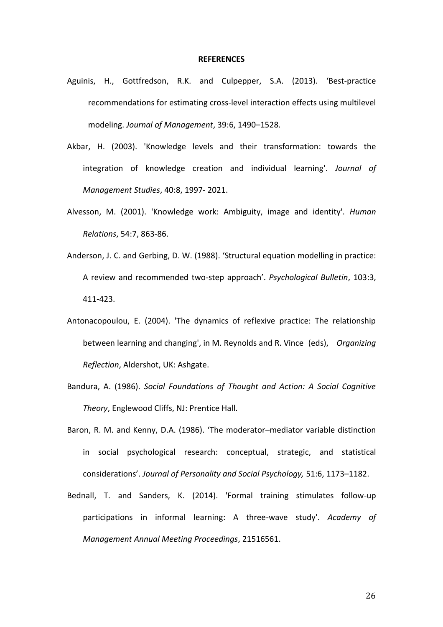#### **REFERENCES**

- Aguinis, H., Gottfredson, R.K. and Culpepper, S.A. (2013). 'Best-practice recommendations for estimating cross-level interaction effects using multilevel modeling. *Journal of Management*, 39:6, 1490–1528.
- Akbar, H. (2003). 'Knowledge levels and their transformation: towards the integration of knowledge creation and individual learning'. *Journal of Management Studies*, 40:8, 1997- 2021.
- Alvesson, M. (2001). 'Knowledge work: Ambiguity, image and identity'. *Human Relations*, 54:7, 863-86.
- Anderson, J. C. and Gerbing, D. W. (1988). 'Structural equation modelling in practice: A review and recommended two-step approach'. *Psychological Bulletin*, 103:3, 411-423.
- Antonacopoulou, E. (2004). 'The dynamics of reflexive practice: The relationship between learning and changing', in M. Reynolds and R. Vince (eds), *Organizing Reflection*, Aldershot, UK: Ashgate.
- Bandura, A. (1986). *Social Foundations of Thought and Action: A Social Cognitive Theory*, Englewood Cliffs, NJ: Prentice Hall.
- Baron, R. M. and Kenny, D.A. (1986). 'The moderator–mediator variable distinction in social psychological research: conceptual, strategic, and statistical considerations'. *Journal of Personality and Social Psychology,* 51:6, 1173–1182.
- Bednall, T. and Sanders, K. (2014). 'Formal training stimulates follow-up participations in informal learning: A three-wave study'. *Academy of Management Annual Meeting Proceedings*, 21516561.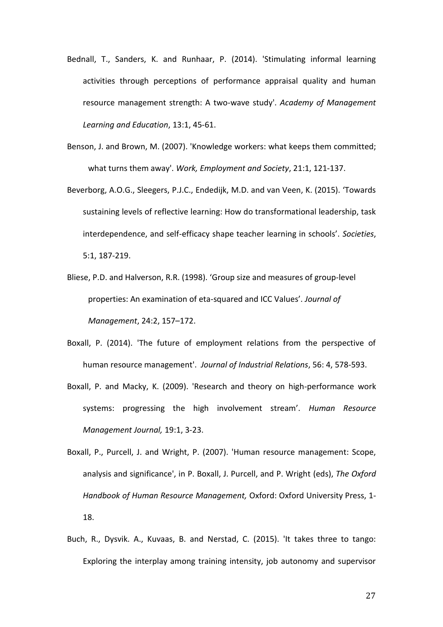- Bednall, T., Sanders, K. and Runhaar, P. (2014). 'Stimulating informal learning activities through perceptions of performance appraisal quality and human resource management strength: A two-wave study'. *Academy of Management Learning and Education*, 13:1, 45-61.
- Benson, J. and Brown, M. (2007). 'Knowledge workers: what keeps them committed; what turns them away'. *Work, Employment and Society*, 21:1, 121-137.
- Beverborg, A.O.G., Sleegers, P.J.C., Endedijk, M.D. and van Veen, K. (2015). 'Towards sustaining levels of reflective learning: How do transformational leadership, task interdependence, and self-efficacy shape teacher learning in schools'. *Societies*, 5:1, 187-219.
- Bliese, P.D. and Halverson, R.R. (1998). 'Group size and measures of group-level properties: An examination of eta-squared and ICC Values'. *Journal of Management*, 24:2, 157–172.
- Boxall, P. (2014). 'The future of employment relations from the perspective of human resource management'. *Journal of Industrial Relations*, 56: 4, 578-593.
- Boxall, P. and Macky, K. (2009). 'Research and theory on high-performance work systems: progressing the high involvement stream'. *Human Resource Management Journal,* 19:1, 3-23.
- Boxall, P., Purcell, J. and Wright, P. (2007). 'Human resource management: Scope, analysis and significance', in P. Boxall, J. Purcell, and P. Wright (eds), *The Oxford Handbook of Human Resource Management,* Oxford: Oxford University Press, 1- 18.
- Buch, R., Dysvik. A., Kuvaas, B. and Nerstad, C. (2015). 'It takes three to tango: Exploring the interplay among training intensity, job autonomy and supervisor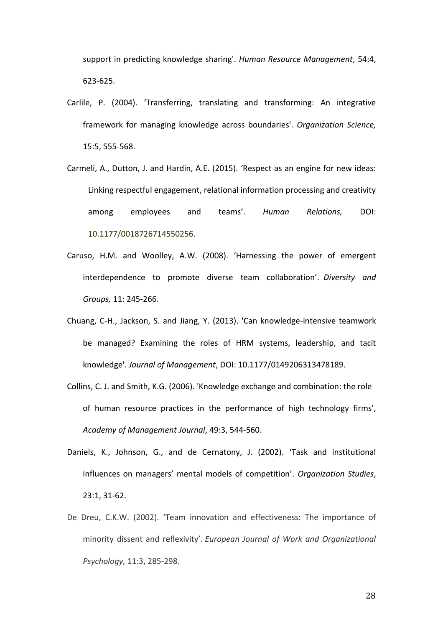support in predicting knowledge sharing'. *Human Resource Management*, 54:4, 623-625.

- Carlile, P. (2004). 'Transferring, translating and transforming: An integrative framework for managing knowledge across boundaries'. *Organization Science,* 15:5, 555-568.
- Carmeli, A., Dutton, J. and Hardin, A.E. (2015). 'Respect as an engine for new ideas: Linking respectful engagement, relational information processing and creativity among employees and teams'. *Human Relations,* DOI: 10.1177/0018726714550256.
- Caruso, H.M. and Woolley, A.W. (2008). 'Harnessing the power of emergent interdependence to promote diverse team collaboration'. *Diversity and Groups,* 11: 245-266.
- Chuang, C-H., Jackson, S. and Jiang, Y. (2013). 'Can knowledge-intensive teamwork be managed? Examining the roles of HRM systems, leadership, and tacit knowledge'. *Journal of Management*, DOI: 10.1177/0149206313478189.
- Collins, C. J. and Smith, K.G. (2006). 'Knowledge exchange and combination: the role of human resource practices in the performance of high technology firms', *Academy of Management Journal*, 49:3, 544-560.
- Daniels, K., Johnson, G., and de Cernatony, J. (2002). 'Task and institutional influences on managers' mental models of competition'. *Organization Studies*, 23:1, 31-62.
- De Dreu, C.K.W. (2002). 'Team innovation and effectiveness: The importance of minority dissent and reflexivity'. *European Journal of Work and Organizational Psychology,* 11:3, 285-298.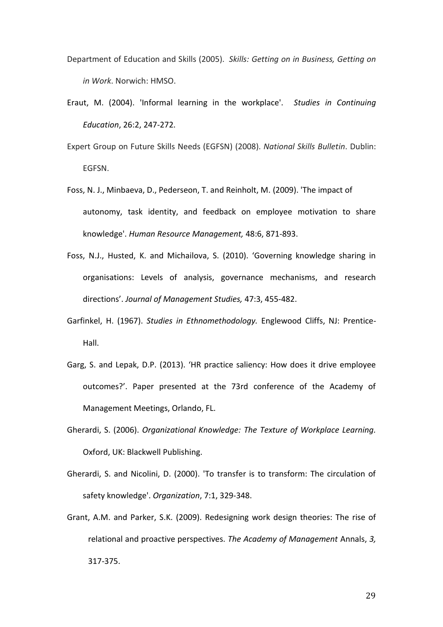- Department of Education and Skills (2005). *Skills: Getting on in Business, Getting on in Work*. Norwich: HMSO.
- Eraut, M. (2004). 'Informal learning in the workplace'. *Studies in Continuing Education*, 26:2, 247-272.
- Expert Group on Future Skills Needs (EGFSN) (2008). *National Skills Bulletin*. Dublin: EGFSN.
- Foss, N. J., Minbaeva, D., Pederseon, T. and Reinholt, M. (2009). 'The impact of autonomy, task identity, and feedback on employee motivation to share knowledge'. *Human Resource Management,* 48:6, 871-893.
- Foss, N.J., Husted, K. and Michailova, S. (2010). 'Governing knowledge sharing in organisations: Levels of analysis, governance mechanisms, and research directions'. *Journal of Management Studies,* 47:3, 455-482.
- Garfinkel, H. (1967). *Studies in Ethnomethodology.* Englewood Cliffs, NJ: Prentice-Hall.
- Garg, S. and Lepak, D.P. (2013). 'HR practice saliency: How does it drive employee outcomes?'. Paper presented at the 73rd conference of the Academy of Management Meetings, Orlando, FL.
- Gherardi, S. (2006). *Organizational Knowledge: The Texture of Workplace Learning.* Oxford, UK: Blackwell Publishing.
- Gherardi, S. and Nicolini, D. (2000). 'To transfer is to transform: The circulation of safety knowledge'. *Organization*, 7:1, 329-348.
- Grant, A.M. and Parker, S.K. (2009). Redesigning work design theories: The rise of relational and proactive perspectives. *The Academy of Management* Annals, *3,* 317-375.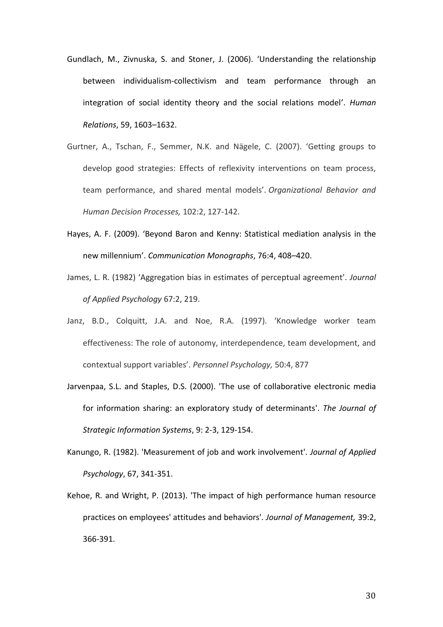- Gundlach, M., Zivnuska, S. and Stoner, J. (2006). 'Understanding the relationship between individualism-collectivism and team performance through an integration of social identity theory and the social relations model'. *Human Relations*, 59, 1603–1632.
- Gurtner, A., Tschan, F., Semmer, N.K. and Nägele, C. (2007). 'Getting groups to develop good strategies: Effects of reflexivity interventions on team process, team performance, and shared mental models'. *Organizational Behavior and Human Decision Processes,* 102:2, 127-142.
- Hayes, A. F. (2009). 'Beyond Baron and Kenny: Statistical mediation analysis in the new millennium'. *Communication Monographs*, 76:4, 408–420.
- James, L. R. (1982) 'Aggregation bias in estimates of perceptual agreement'. *Journal of Applied Psychology* 67:2, 219.
- Janz, B.D., Colquitt, J.A. and Noe, R.A. (1997). 'Knowledge worker team effectiveness: The role of autonomy, interdependence, team development, and contextual support variables'. *Personnel Psychology,* 50:4, 877
- Jarvenpaa, S.L. and Staples, D.S. (2000). 'The use of collaborative electronic media for information sharing: an exploratory study of determinants'. *The Journal of Strategic Information Systems*, 9: 2-3, 129-154.
- Kanungo, R. (1982). 'Measurement of job and work involvement'. *Journal of Applied Psychology*, 67, 341-351.
- Kehoe, R. and Wright, P. (2013). 'The impact of high performance human resource practices on employees' attitudes and behaviors'. *Journal of Management,* 39:2, 366-391.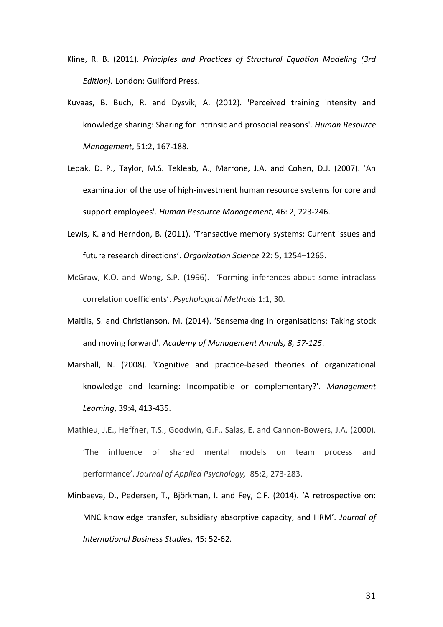- Kline, R. B. (2011). *Principles and Practices of Structural Equation Modeling (3rd Edition).* London: Guilford Press.
- Kuvaas, B. Buch, R. and Dysvik, A. (2012). 'Perceived training intensity and knowledge sharing: Sharing for intrinsic and prosocial reasons'. *Human Resource Management*, 51:2, 167-188.
- Lepak, D. P., Taylor, M.S. Tekleab, A., Marrone, J.A. and Cohen, D.J. (2007). 'An examination of the use of high-investment human resource systems for core and support employees'. *Human Resource Management*, 46: 2, 223-246.
- Lewis, K. and Herndon, B. (2011). 'Transactive memory systems: Current issues and future research directions'. *Organization Science* 22: 5, 1254–1265.
- McGraw, K.O. and Wong, S.P. (1996). 'Forming inferences about some intraclass correlation coefficients'. *Psychological Methods* 1:1, 30.
- Maitlis, S. and Christianson, M. (2014). 'Sensemaking in organisations: Taking stock and moving forward'. *Academy of Management Annals, 8, 57-125*.
- Marshall, N. (2008). 'Cognitive and practice-based theories of organizational knowledge and learning: Incompatible or complementary?'. *Management Learning*, 39:4, 413-435.
- Mathieu, J.E., Heffner, T.S., Goodwin, G.F., Salas, E. and Cannon-Bowers, J.A. (2000). 'The influence of shared mental models on team process and performance'. *Journal of Applied Psychology,* 85:2, 273-283.
- Minbaeva, D., Pedersen, T., Björkman, I. and Fey, C.F. (2014). 'A retrospective on: MNC knowledge transfer, subsidiary absorptive capacity, and HRM'. *Journal of International Business Studies,* 45: 52-62.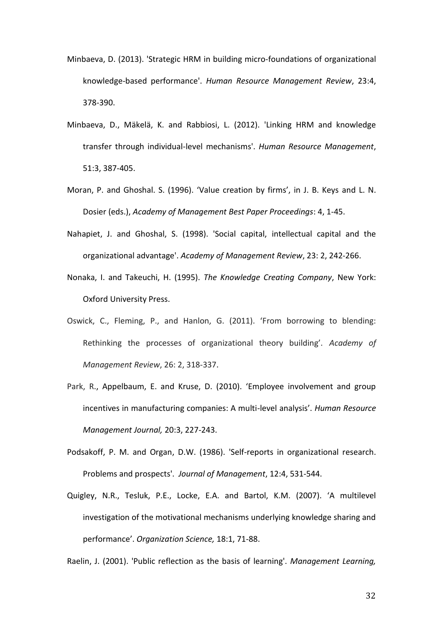- Minbaeva, D. (2013). 'Strategic HRM in building micro-foundations of organizational knowledge-based performance'. *Human Resource Management Review*, 23:4, 378-390.
- Minbaeva, D., Mäkelä, K. and Rabbiosi, L. (2012). 'Linking HRM and knowledge transfer through individual-level mechanisms'. *Human Resource Management*, 51:3, 387-405.
- Moran, P. and Ghoshal. S. (1996). 'Value creation by firms', in J. B. Keys and L. N. Dosier (eds.), *Academy of Management Best Paper Proceedings*: 4, 1-45.
- Nahapiet, J. and Ghoshal, S. (1998). 'Social capital, intellectual capital and the organizational advantage'. *Academy of Management Review*, 23: 2, 242-266.
- Nonaka, I. and Takeuchi, H. (1995). *The Knowledge Creating Company*, New York: Oxford University Press.
- Oswick, C., Fleming, P., and Hanlon, G. (2011). 'From borrowing to blending: Rethinking the processes of organizational theory building'. *Academy of Management Review*, 26: 2, 318-337.
- Park, R., Appelbaum, E. and Kruse, D. (2010). 'Employee involvement and group incentives in manufacturing companies: A multi-level analysis'. *Human Resource Management Journal,* 20:3, 227-243.
- Podsakoff, P. M. and Organ, D.W. (1986). 'Self-reports in organizational research. Problems and prospects'. *Journal of Management*, 12:4, 531-544.
- Quigley, N.R., Tesluk, P.E., Locke, E.A. and Bartol, K.M. (2007). 'A multilevel investigation of the motivational mechanisms underlying knowledge sharing and performance'. *Organization Science,* 18:1, 71-88.

Raelin, J. (2001). 'Public reflection as the basis of learning'. *Management Learning,*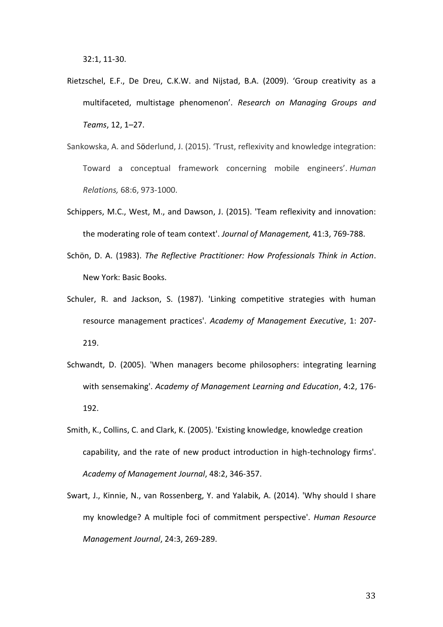- Rietzschel, E.F., De Dreu, C.K.W. and Nijstad, B.A. (2009). 'Group creativity as a multifaceted, multistage phenomenon'. *Research on Managing Groups and Teams*, 12, 1–27.
- Sankowska, A. and Söderlund, J. (2015). 'Trust, reflexivity and knowledge integration: Toward a conceptual framework concerning mobile engineers'. *Human Relations,* 68:6, 973-1000.
- Schippers, M.C., West, M., and Dawson, J. (2015). 'Team reflexivity and innovation: the moderating role of team context'. *Journal of Management,* 41:3, 769-788.
- Schön, D. A. (1983). *The Reflective Practitioner: How Professionals Think in Action*. New York: Basic Books.
- Schuler, R. and Jackson, S. (1987). 'Linking competitive strategies with human resource management practices'. *Academy of Management Executive*, 1: 207- 219.
- Schwandt, D. (2005). 'When managers become philosophers: integrating learning with sensemaking'. *Academy of Management Learning and Education*, 4:2, 176- 192.
- Smith, K., Collins, C. and Clark, K. (2005). 'Existing knowledge, knowledge creation capability, and the rate of new product introduction in high-technology firms'. *Academy of Management Journal*, 48:2, 346-357.
- Swart, J., Kinnie, N., van Rossenberg, Y. and Yalabik, A. (2014). 'Why should I share my knowledge? A multiple foci of commitment perspective'. *Human Resource Management Journal*, 24:3, 269-289.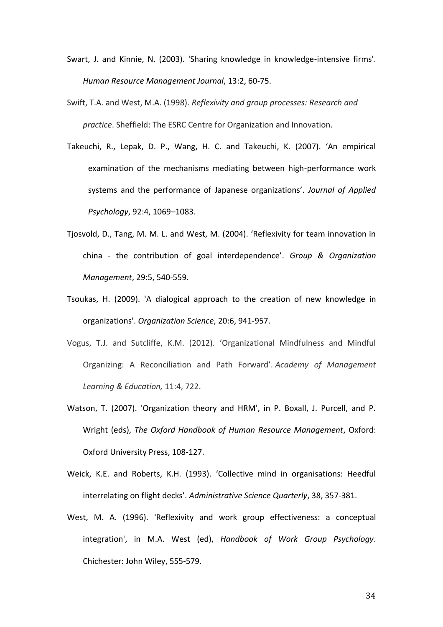- Swart, J. and Kinnie, N. (2003). 'Sharing knowledge in knowledge-intensive firms'. *Human Resource Management Journal*, 13:2, 60-75.
- Swift, T.A. and West, M.A. (1998). *Reflexivity and group processes: Research and practice*. Sheffield: The ESRC Centre for Organization and Innovation.
- Takeuchi, R., Lepak, D. P., Wang, H. C. and Takeuchi, K. (2007). 'An empirical examination of the mechanisms mediating between high-performance work systems and the performance of Japanese organizations'. *Journal of Applied Psychology*, 92:4, 1069–1083.
- Tjosvold, D., Tang, M. M. L. and West, M. (2004). 'Reflexivity for team innovation in china - the contribution of goal interdependence'. *Group & Organization Management*, 29:5, 540-559.
- Tsoukas, H. (2009). 'A dialogical approach to the creation of new knowledge in organizations'. *Organization Science*, 20:6, 941-957.
- Vogus, T.J. and Sutcliffe, K.M. (2012). 'Organizational Mindfulness and Mindful Organizing: A Reconciliation and Path Forward'. *Academy of Management Learning & Education,* 11:4, 722.
- Watson, T. (2007). 'Organization theory and HRM', in P. Boxall, J. Purcell, and P. Wright (eds), *The Oxford Handbook of Human Resource Management*, Oxford: Oxford University Press, 108-127.
- Weick, K.E. and Roberts, K.H. (1993). 'Collective mind in organisations: Heedful interrelating on flight decks'. *Administrative Science Quarterly*, 38, 357-381.
- West, M. A. (1996). 'Reflexivity and work group effectiveness: a conceptual integration', in M.A. West (ed), *Handbook of Work Group Psychology*. Chichester: John Wiley, 555-579.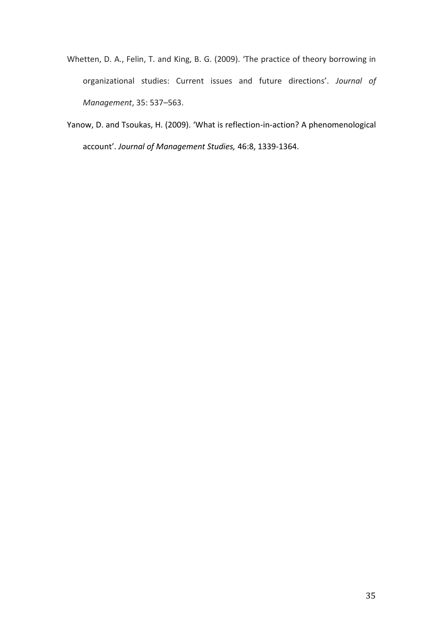- Whetten, D. A., Felin, T. and King, B. G. (2009). 'The practice of theory borrowing in organizational studies: Current issues and future directions'. *Journal of Management*, 35: 537–563.
- Yanow, D. and Tsoukas, H. (2009). 'What is reflection-in-action? A phenomenological account'. *Journal of Management Studies,* 46:8, 1339-1364.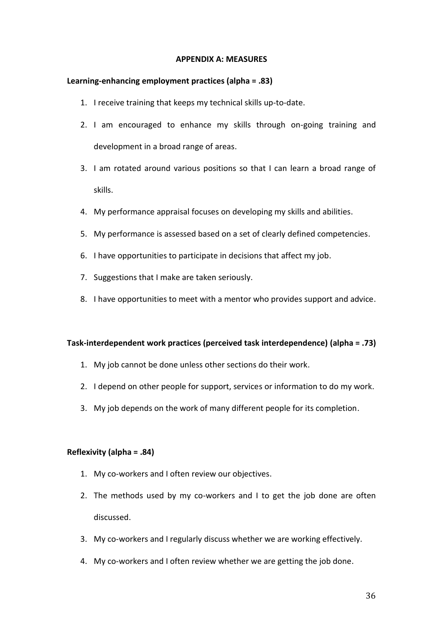# **APPENDIX A: MEASURES**

# **Learning-enhancing employment practices (alpha = .83)**

- 1. I receive training that keeps my technical skills up-to-date.
- 2. I am encouraged to enhance my skills through on-going training and development in a broad range of areas.
- 3. I am rotated around various positions so that I can learn a broad range of skills.
- 4. My performance appraisal focuses on developing my skills and abilities.
- 5. My performance is assessed based on a set of clearly defined competencies.
- 6. I have opportunities to participate in decisions that affect my job.
- 7. Suggestions that I make are taken seriously.
- 8. I have opportunities to meet with a mentor who provides support and advice.

# **Task-interdependent work practices (perceived task interdependence) (alpha = .73)**

- 1. My job cannot be done unless other sections do their work.
- 2. I depend on other people for support, services or information to do my work.
- 3. My job depends on the work of many different people for its completion.

# **Reflexivity (alpha = .84)**

- 1. My co-workers and I often review our objectives.
- 2. The methods used by my co-workers and I to get the job done are often discussed.
- 3. My co-workers and I regularly discuss whether we are working effectively.
- 4. My co-workers and I often review whether we are getting the job done.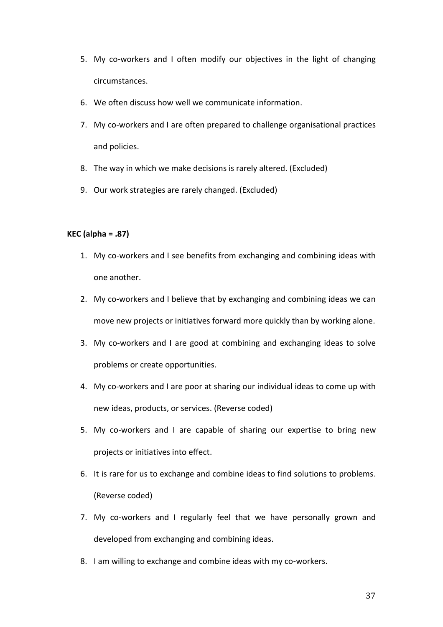- 5. My co-workers and I often modify our objectives in the light of changing circumstances.
- 6. We often discuss how well we communicate information.
- 7. My co-workers and I are often prepared to challenge organisational practices and policies.
- 8. The way in which we make decisions is rarely altered. (Excluded)
- 9. Our work strategies are rarely changed. (Excluded)

# **KEC (alpha = .87)**

- 1. My co-workers and I see benefits from exchanging and combining ideas with one another.
- 2. My co-workers and I believe that by exchanging and combining ideas we can move new projects or initiatives forward more quickly than by working alone.
- 3. My co-workers and I are good at combining and exchanging ideas to solve problems or create opportunities.
- 4. My co-workers and I are poor at sharing our individual ideas to come up with new ideas, products, or services. (Reverse coded)
- 5. My co-workers and I are capable of sharing our expertise to bring new projects or initiatives into effect.
- 6. It is rare for us to exchange and combine ideas to find solutions to problems. (Reverse coded)
- 7. My co-workers and I regularly feel that we have personally grown and developed from exchanging and combining ideas.
- 8. I am willing to exchange and combine ideas with my co-workers.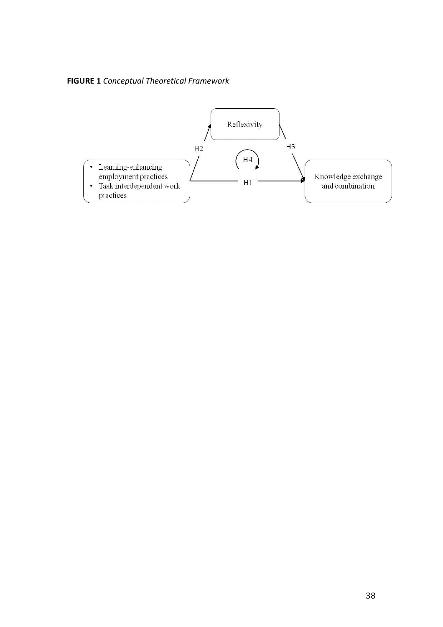**FIGURE 1** *Conceptual Theoretical Framework* 

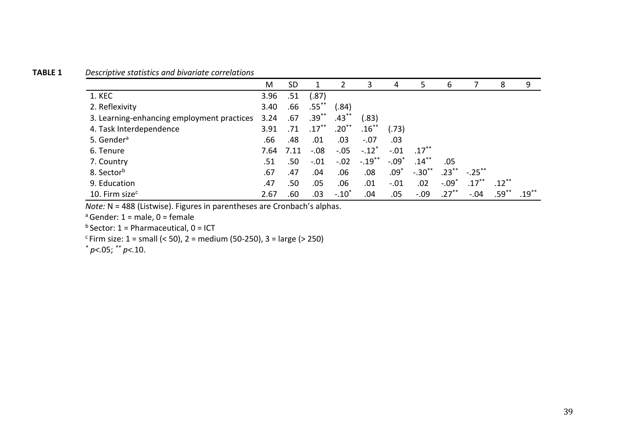# **TABLE 1** *Descriptive statistics and bivariate correlations*

|                                            | M    | <b>SD</b> |          | $\mathcal{P}$ | 3                   | 4       | 5                   | 6        |           | 8        | 9        |
|--------------------------------------------|------|-----------|----------|---------------|---------------------|---------|---------------------|----------|-----------|----------|----------|
| 1. KEC                                     | 3.96 | .51       | (.87)    |               |                     |         |                     |          |           |          |          |
| 2. Reflexivity                             | 3.40 | .66       | $.55$ ** | (.84)         |                     |         |                     |          |           |          |          |
| 3. Learning-enhancing employment practices | 3.24 | .67       | $.39***$ | $.43***$      | (.83)               |         |                     |          |           |          |          |
| 4. Task Interdependence                    | 3.91 | .71       | $.17***$ | $.20***$      | $.16***$            | (.73)   |                     |          |           |          |          |
| 5. Gender <sup>a</sup>                     | .66  | .48       | .01      | .03           | $-.07$              | .03     |                     |          |           |          |          |
| 6. Tenure                                  | 7.64 | 7.11      | $-.08$   | $-.05$        | $-.12$ <sup>*</sup> | $-.01$  | $.17$ <sup>**</sup> |          |           |          |          |
| 7. Country                                 | .51  | .50       | $-.01$   | $-.02$        | $-.19***$           | $-.09*$ | $.14***$            | .05      |           |          |          |
| 8. Sector <sup>b</sup>                     | .67  | .47       | .04      | .06           | .08                 | $.09^*$ | $-.30$ **           | $.23***$ | $-.25***$ |          |          |
| 9. Education                               | .47  | .50       | .05      | .06           | .01                 | $-.01$  | .02                 | $-.09*$  | $.17***$  | $.12***$ |          |
| 10. Firm size $c$                          | 2.67 | .60       | .03      | $-.10"$       | .04                 | .05     | $-.09$              | $.27***$ | $-.04$    | $.59***$ | $.19***$ |

*Note: N* = 488 (Listwise). Figures in parentheses are Cronbach's alphas.

 $a$  Gender: 1 = male, 0 = female

 $<sup>b</sup>$  Sector: 1 = Pharmaceutical, 0 = ICT</sup>

 $c$ Firm size: 1 = small (< 50), 2 = medium (50-250), 3 = large (> 250)

*\* p<.*05; *\*\* p<.*10.